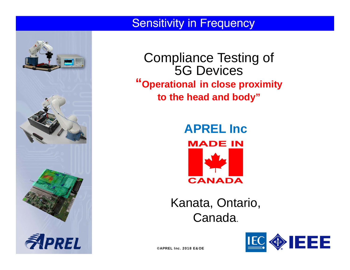

Compliance Testing of 5G Devices **"Operational in close proximity to the head and body"**

> **APREL IncMADE IN CANADA**

Kanata, Ontario, Canada.



©APREL Inc. 2018 E&OE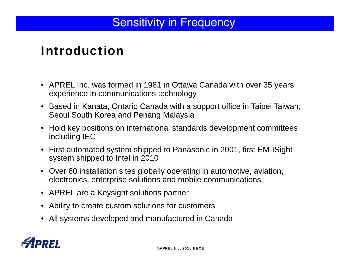# Introduction

- APREL Inc. was formed in 1981 in Ottawa Canada with over 35 years experience in communications technology
- Based in Kanata, Ontario Canada with a support office in Taipei Taiwan, Seoul South Korea and Penang Malaysia
- Hold key positions on international standards development committees including IEC
- First automated system shipped to Panasonic in 2001, first EM-ISight system shipped to Intel in 2010
- Over 60 installation sites globally operating in automotive, aviation, electronics, enterprise solutions and mobile communications
- APREL are a Keysight solutions partner
- Ability to create custom solutions for customers
- All systems developed and manufactured in Canada

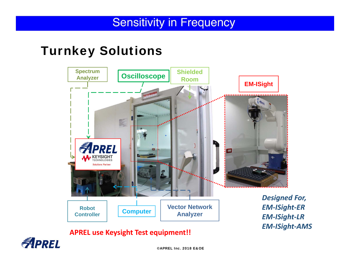### Turnkey Solutions





©APREL Inc. 2018 E&OE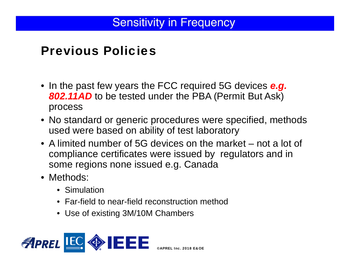### Previous Policies

- In the past few years the FCC required 5G devices *e.g.*  **802.11AD** to be tested under the PBA (Permit But Ask) process
- No standard or generic procedures were specified, methods used were based on ability of test laboratory
- A limited number of 5G devices on the market not a lot of compliance certificates were issued by regulators and in some regions none issued e.g. Canada
- Methods:
	- Simulation
	- Far-field to near-field reconstruction method
	- Use of existing 3M/10M Chambers

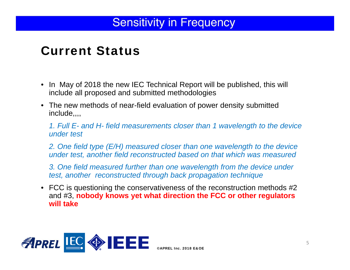# Current Status

- In May of 2018 the new IEC Technical Report will be published, this will include all proposed and submitted methodologies
- The new methods of near-field evaluation of power density submitted include,,,,

*1. Full E- and H- field measurements closer than 1 wavelength to the device under test*

*2. One field type (E/H) measured closer than one wavelength to the device under test, another field reconstructed based on that which was measured*

*3. One field measured further than one wavelength from the device under test, another reconstructed through back propagation technique*

• FCC is questioning the conservativeness of the reconstruction methods #2 and #3, **nobody knows yet what direction the FCC or other regulators will take**

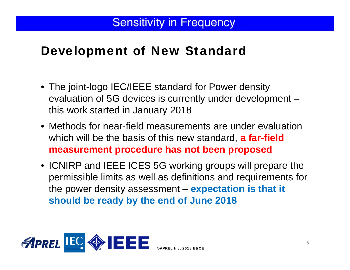# Development of New Standard

- The joint-logo IEC/IEEE standard for Power density evaluation of 5G devices is currently under development – this work started in January 2018
- Methods for near-field measurements are under evaluation which will be the basis of this new standard, **a far-field measurement procedure has not been proposed**
- ICNIRP and IEEE ICES 5G working groups will prepare the permissible limits as well as definitions and requirements for the power density assessment – **expectation is that it should be ready by the end of June 2018**

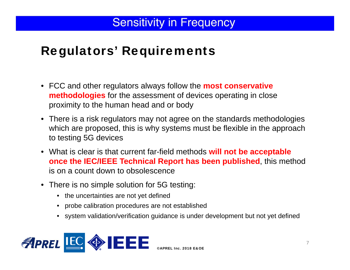# Regulators' Requirements

- FCC and other regulators always follow the **most conservative methodologies** for the assessment of devices operating in close proximity to the human head and or body
- There is a risk regulators may not agree on the standards methodologies which are proposed, this is why systems must be flexible in the approach to testing 5G devices
- What is clear is that current far-field methods **will not be acceptable once the IEC/IEEE Technical Report has been published**, this method is on a count down to obsolescence
- There is no simple solution for 5G testing:
	- the uncertainties are not yet defined
	- probe calibration procedures are not established
	- system validation/verification guidance is under development but not yet defined

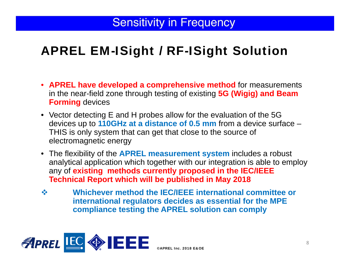# APREL EM-ISight / RF-ISight Solution

- **APREL have developed a comprehensive method** for measurements in the near-field zone through testing of existing **5G (Wigig) and Beam Forming** devices
- Vector detecting E and H probes allow for the evaluation of the 5G devices up to **110GHz at a distance of 0.5 mm** from a device surface – THIS is only system that can get that close to the source of electromagnetic energy
- The flexibility of the **APREL measurement system** includes a robust analytical application which together with our integration is able to employ any of **existing methods currently proposed in the IEC/IEEE Technical Report which will be published in May 2018**
- $\frac{1}{2}$  **Whichever method the IEC/IEEE international committee or international regulators decides as essential for the MPE compliance testing the APREL solution can comply**

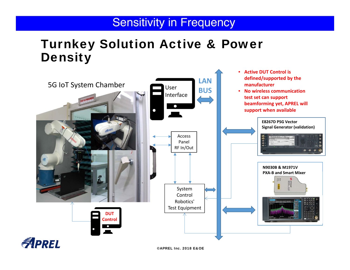# Turnkey Solution Active & Power **Density**

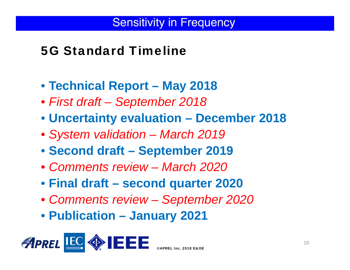# 5G Standard Timeline

- **Technical Report – May 2018**
- *First draft – September 2018*
- **Uncertainty evaluation – December 2018**
- *System validation – March 2019*
- **Second draft – September 2019**
- *Comments review – March 2020*
- **Final draft – second quarter 2020**
- *Comments review – September 2020*
- **Publication – January 2021**